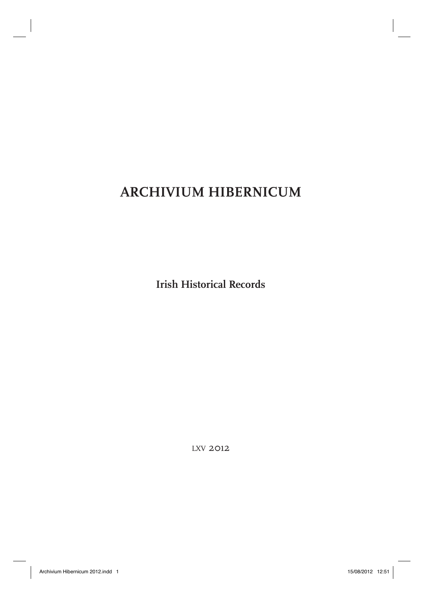# **ARCHIVIUM HIBERNICUM**

**Irish Historical Records**

LXV 2012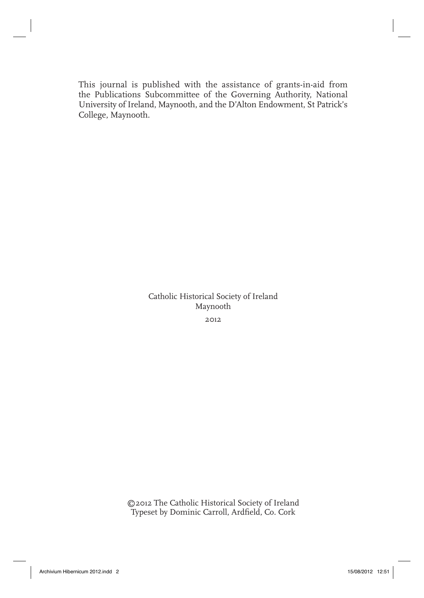This journal is published with the assistance of grants-in-aid from the Publications Subcommittee of the Governing Authority, National University of Ireland, Maynooth, and the D'Alton Endowment, St Patrick's College, Maynooth.

> Catholic Historical Society of Ireland Maynooth 2012

©2012 The Catholic Historical Society of Ireland Typeset by Dominic Carroll, Ardfield, Co. Cork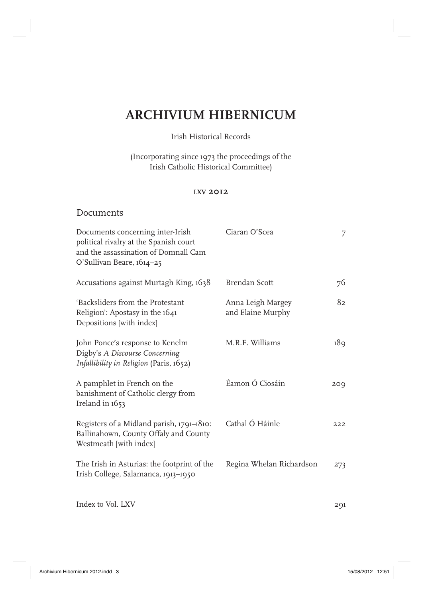# **ARCHIVIUM HIBERNICUM**

## Irish Historical Records

(Incorporating since 1973 the proceedings of the Irish Catholic Historical Committee)

### **LXV 2012**

## Documents

| Documents concerning inter-Irish<br>political rivalry at the Spanish court<br>and the assassination of Domnall Cam<br>O'Sullivan Beare, 1614-25 | Ciaran O'Scea                          | 7   |
|-------------------------------------------------------------------------------------------------------------------------------------------------|----------------------------------------|-----|
| Accusations against Murtagh King, 1638                                                                                                          | Brendan Scott                          | 76  |
| 'Backsliders from the Protestant<br>Religion': Apostasy in the 1641<br>Depositions [with index]                                                 | Anna Leigh Margey<br>and Elaine Murphy | 82. |
| John Ponce's response to Kenelm<br>Digby's A Discourse Concerning<br>Infallibility in Religion (Paris, 1652)                                    | M.R.F. Williams                        | 189 |
| A pamphlet in French on the<br>banishment of Catholic clergy from<br>Ireland in 1653                                                            | Éamon Ó Ciosáin                        | 200 |
| Registers of a Midland parish, 1791-1810:<br>Ballinahown, County Offaly and County<br>Westmeath [with index]                                    | Cathal Ó Háinle                        | 222 |
| The Irish in Asturias: the footprint of the<br>Irish College, Salamanca, 1913-1950                                                              | Regina Whelan Richardson               | 273 |
| Index to Vol. LXV                                                                                                                               |                                        | 291 |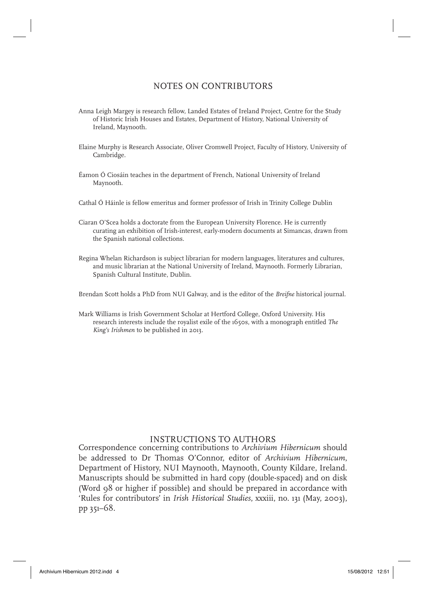## NOTES ON CONTRIBUTORS

- Anna Leigh Margey is research fellow, Landed Estates of Ireland Project, Centre for the Study of Historic Irish Houses and Estates, Department of History, National University of Ireland, Maynooth.
- Elaine Murphy is Research Associate, Oliver Cromwell Project, Faculty of History, University of Cambridge.
- Éamon Ó Ciosáin teaches in the department of French, National University of Ireland Maynooth.
- Cathal Ó Háinle is fellow emeritus and former professor of Irish in Trinity College Dublin
- Ciaran O'Scea holds a doctorate from the European University Florence. He is currently curating an exhibition of Irish-interest, early-modern documents at Simancas, drawn from the Spanish national collections.
- Regina Whelan Richardson is subject librarian for modern languages, literatures and cultures, and music librarian at the National University of Ireland, Maynooth. Formerly Librarian, Spanish Cultural Institute, Dublin.

Brendan Scott holds a PhD from NUI Galway, and is the editor of the *Breifne* historical journal.

Mark Williams is Irish Government Scholar at Hertford College, Oxford University. His research interests include the royalist exile of the 1650s, with a monograph entitled *The King's Irishmen* to be published in 2013.

## INSTRUCTIONS TO AUTHORS

Correspondence concerning contributions to *Archivium Hibernicum* should be addressed to Dr Thomas O'Connor, editor of *Archivium Hibernicum*, Department of History, NUI Maynooth, Maynooth, County Kildare, Ireland. Manuscripts should be submitted in hard copy (double-spaced) and on disk (Word 98 or higher if possible) and should be prepared in accordance with 'Rules for contributors' in *Irish Historical Studies*, xxxiii, no. 131 (May, 2003), pp 351–68.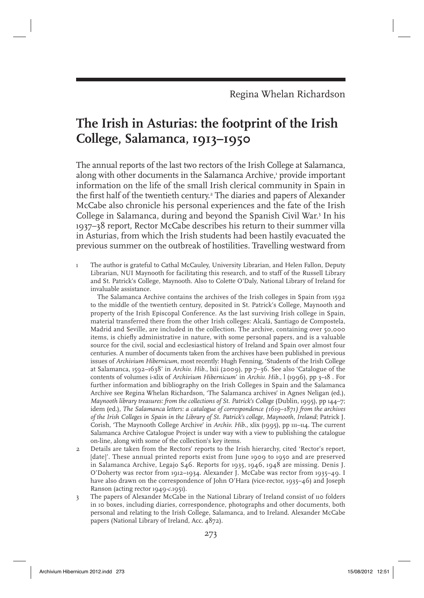# **The Irish in Asturias: the footprint of the Irish College, Salamanca, 1913–1950**

The annual reports of the last two rectors of the Irish College at Salamanca, along with other documents in the Salamanca Archive,<sup>1</sup> provide important information on the life of the small Irish clerical community in Spain in the first half of the twentieth century.<sup>2</sup> The diaries and papers of Alexander McCabe also chronicle his personal experiences and the fate of the Irish College in Salamanca, during and beyond the Spanish Civil War.3 In his 1937–38 report, Rector McCabe describes his return to their summer villa in Asturias, from which the Irish students had been hastily evacuated the previous summer on the outbreak of hostilities. Travelling westward from

1 The author is grateful to Cathal McCauley, University Librarian, and Helen Fallon, Deputy Librarian, NUI Maynooth for facilitating this research, and to staff of the Russell Library and St. Patrick's College, Maynooth. Also to Colette O'Daly, National Library of Ireland for invaluable assistance.

 The Salamanca Archive contains the archives of the Irish colleges in Spain from 1592 to the middle of the twentieth century, deposited in St. Patrick's College, Maynooth and property of the Irish Episcopal Conference. As the last surviving Irish college in Spain, material transferred there from the other Irish colleges: Alcalá, Santiago de Compostela, Madrid and Seville, are included in the collection. The archive, containing over 50,000 items, is chiefly administrative in nature, with some personal papers, and is a valuable source for the civil, social and ecclesiastical history of Ireland and Spain over almost four centuries. A number of documents taken from the archives have been published in previous issues of *Archivium Hibernicum*, most recently: Hugh Fenning, 'Students of the Irish College at Salamanca, 1592–1638' in *Archiv. Hib.*, lxii (2009), pp 7–36. See also 'Catalogue of the contents of volumes i-xlix of *Archivium Hibernicum*' in *Archiv. Hib.*, l (1996), pp 3–18 . For further information and bibliography on the Irish Colleges in Spain and the Salamanca Archive see Regina Whelan Richardson, 'The Salamanca archives' in Agnes Neligan (ed.), *Maynooth library treasures: from the collections of St. Patrick's College* (Dublin, 1995), pp 144–7; idem (ed.), *The Salamanca letters: a catalogue of correspondence (1619–1871) from the archives of the Irish Colleges in Spain in the Library of St. Patrick's college, Maynooth, Ireland*; Patrick J. Corish, 'The Maynooth College Archive' in *Archiv. Hib*., xlix (1995), pp 111–114. The current Salamanca Archive Catalogue Project is under way with a view to publishing the catalogue on-line, along with some of the collection's key items.

- 2 Details are taken from the Rectors' reports to the Irish hierarchy, cited 'Rector's report, [date]'. These annual printed reports exist from June 1909 to 1950 and are preserved in Salamanca Archive, Legajo S46. Reports for 1935, 1946, 1948 are missing. Denis J. O'Doherty was rector from 1912–1934. Alexander J. McCabe was rector from 1935–49. I have also drawn on the correspondence of John O'Hara (vice-rector, 1935–46) and Joseph Ranson (acting rector 1949-*c.*1951).
- 3 The papers of Alexander McCabe in the National Library of Ireland consist of 110 folders in 10 boxes, including diaries, correspondence, photographs and other documents, both personal and relating to the Irish College, Salamanca, and to Ireland. Alexander McCabe papers (National Library of Ireland, Acc. 4872).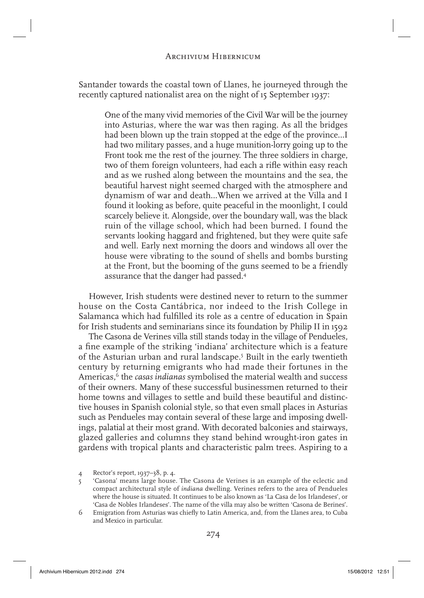Santander towards the coastal town of Llanes, he journeyed through the recently captured nationalist area on the night of 15 September 1937:

One of the many vivid memories of the Civil War will be the journey into Asturias, where the war was then raging. As all the bridges had been blown up the train stopped at the edge of the province…I had two military passes, and a huge munition-lorry going up to the Front took me the rest of the journey. The three soldiers in charge, two of them foreign volunteers, had each a rifle within easy reach and as we rushed along between the mountains and the sea, the beautiful harvest night seemed charged with the atmosphere and dynamism of war and death…When we arrived at the Villa and I found it looking as before, quite peaceful in the moonlight, I could scarcely believe it. Alongside, over the boundary wall, was the black ruin of the village school, which had been burned. I found the servants looking haggard and frightened, but they were quite safe and well. Early next morning the doors and windows all over the house were vibrating to the sound of shells and bombs bursting at the Front, but the booming of the guns seemed to be a friendly assurance that the danger had passed.4

However, Irish students were destined never to return to the summer house on the Costa Cantábrica, nor indeed to the Irish College in Salamanca which had fulfilled its role as a centre of education in Spain for Irish students and seminarians since its foundation by Philip II in 1592

The Casona de Verines villa still stands today in the village of Pendueles, a fine example of the striking 'indiana' architecture which is a feature of the Asturian urban and rural landscape.5 Built in the early twentieth century by returning emigrants who had made their fortunes in the Americas,<sup>6</sup> the *casas indianas* symbolised the material wealth and success of their owners. Many of these successful businessmen returned to their home towns and villages to settle and build these beautiful and distinctive houses in Spanish colonial style, so that even small places in Asturias such as Pendueles may contain several of these large and imposing dwellings, palatial at their most grand. With decorated balconies and stairways, glazed galleries and columns they stand behind wrought-iron gates in gardens with tropical plants and characteristic palm trees. Aspiring to a

6 Emigration from Asturias was chiefly to Latin America, and, from the Llanes area, to Cuba and Mexico in particular.

<sup>4</sup> Rector's report, 1937–38, p. 4.

<sup>&#</sup>x27;Casona' means large house. The Casona de Verines is an example of the eclectic and compact architectural style of *indiana* dwelling. Verines refers to the area of Pendueles where the house is situated. It continues to be also known as 'La Casa de los Irlandeses', or 'Casa de Nobles Irlandeses'. The name of the villa may also be written 'Casona de Berines'.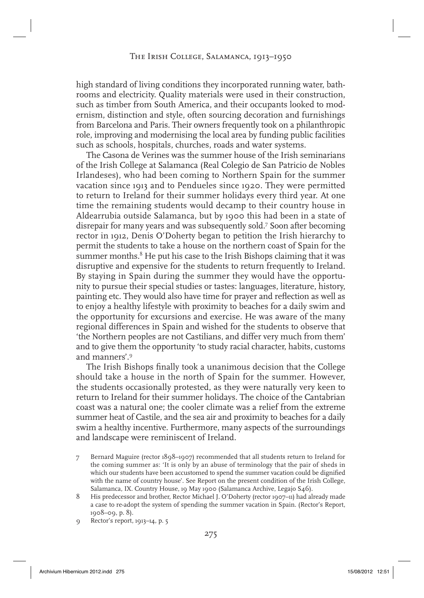# The Irish College, Salamanca, 1913–1950

high standard of living conditions they incorporated running water, bathrooms and electricity. Quality materials were used in their construction, such as timber from South America, and their occupants looked to modernism, distinction and style, often sourcing decoration and furnishings from Barcelona and Paris. Their owners frequently took on a philanthropic role, improving and modernising the local area by funding public facilities such as schools, hospitals, churches, roads and water systems.

The Casona de Verines was the summer house of the Irish seminarians of the Irish College at Salamanca (Real Colegio de San Patricio de Nobles Irlandeses), who had been coming to Northern Spain for the summer vacation since 1913 and to Pendueles since 1920. They were permitted to return to Ireland for their summer holidays every third year. At one time the remaining students would decamp to their country house in Aldearrubia outside Salamanca, but by 1900 this had been in a state of disrepair for many years and was subsequently sold.7 Soon after becoming rector in 1912, Denis O'Doherty began to petition the Irish hierarchy to permit the students to take a house on the northern coast of Spain for the summer months.<sup>8</sup> He put his case to the Irish Bishops claiming that it was disruptive and expensive for the students to return frequently to Ireland. By staying in Spain during the summer they would have the opportunity to pursue their special studies or tastes: languages, literature, history, painting etc. They would also have time for prayer and reflection as well as to enjoy a healthy lifestyle with proximity to beaches for a daily swim and the opportunity for excursions and exercise. He was aware of the many regional differences in Spain and wished for the students to observe that 'the Northern peoples are not Castilians, and differ very much from them' and to give them the opportunity 'to study racial character, habits, customs and manners'.9

The Irish Bishops finally took a unanimous decision that the College should take a house in the north of Spain for the summer. However, the students occasionally protested, as they were naturally very keen to return to Ireland for their summer holidays. The choice of the Cantabrian coast was a natural one; the cooler climate was a relief from the extreme summer heat of Castile, and the sea air and proximity to beaches for a daily swim a healthy incentive. Furthermore, many aspects of the surroundings and landscape were reminiscent of Ireland.

- 7 Bernard Maguire (rector 1898–1907) recommended that all students return to Ireland for the coming summer as: 'It is only by an abuse of terminology that the pair of sheds in which our students have been accustomed to spend the summer vacation could be dignified with the name of country house'. See Report on the present condition of the Irish College, Salamanca, IX. Country House, 19 May 1900 (Salamanca Archive, Legajo S46).
- 8 His predecessor and brother, Rector Michael J. O'Doherty (rector 1907-11) had already made a case to re-adopt the system of spending the summer vacation in Spain. (Rector's Report, 1908–09, p. 8).
- 9 Rector's report, 1913–14, p. 5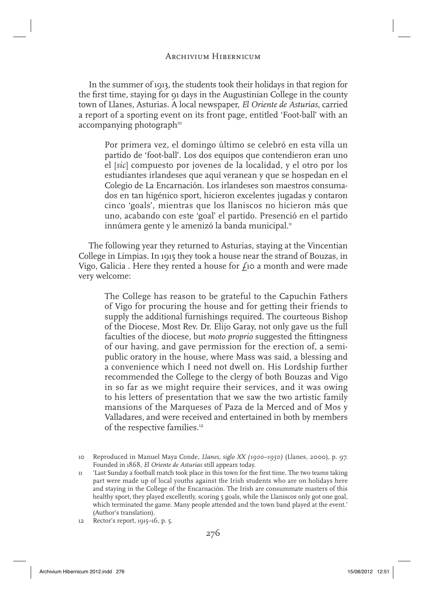In the summer of 1913, the students took their holidays in that region for the first time, staying for 91 days in the Augustinian College in the county town of Llanes, Asturias. A local newspaper, *El Oriente de Asturias*, carried a report of a sporting event on its front page, entitled 'Foot-ball' with an  $accompanying photographic$ 

Por primera vez, el domingo último se celebró en esta villa un partido de 'foot-ball'. Los dos equipos que contendieron eran uno el [*sic*] compuesto por jovenes de la localidad, y el otro por los estudiantes irlandeses que aquí veranean y que se hospedan en el Colegio de La Encarnación. Los irlandeses son maestros consumados en tan higénico sport, hicieron excelentes jugadas y contaron cinco 'goals', mientras que los llaniscos no hicieron más que uno, acabando con este 'goal' el partido. Presenció en el partido innúmera gente y le amenizó la banda municipal.<sup>11</sup>

The following year they returned to Asturias, staying at the Vincentian College in Limpias. In 1915 they took a house near the strand of Bouzas, in Vigo, Galicia . Here they rented a house for  $f_1$ o a month and were made very welcome:

The College has reason to be grateful to the Capuchin Fathers of Vigo for procuring the house and for getting their friends to supply the additional furnishings required. The courteous Bishop of the Diocese, Most Rev. Dr. Elijo Garay, not only gave us the full faculties of the diocese, but *moto proprio* suggested the fittingness of our having, and gave permission for the erection of, a semipublic oratory in the house, where Mass was said, a blessing and a convenience which I need not dwell on. His Lordship further recommended the College to the clergy of both Bouzas and Vigo in so far as we might require their services, and it was owing to his letters of presentation that we saw the two artistic family mansions of the Marqueses of Paza de la Merced and of Mos y Valladares, and were received and entertained in both by members of the respective families.<sup>12</sup>

12 Rector's report, 1915–16, p. 5.

<sup>10</sup> Reproduced in Manuel Maya Conde, *Llanes, siglo XX (1900–1950)* (Llanes, 2000), p. 97. Founded in 1868, *El Oriente de Asturias* still appears today.

<sup>11 &#</sup>x27;Last Sunday a football match took place in this town for the first time. The two teams taking part were made up of local youths against the Irish students who are on holidays here and staying in the College of the Encarnación. The Irish are consummate masters of this healthy sport, they played excellently, scoring 5 goals, while the Llaniscos only got one goal, which terminated the game. Many people attended and the town band played at the event.' (Author's translation).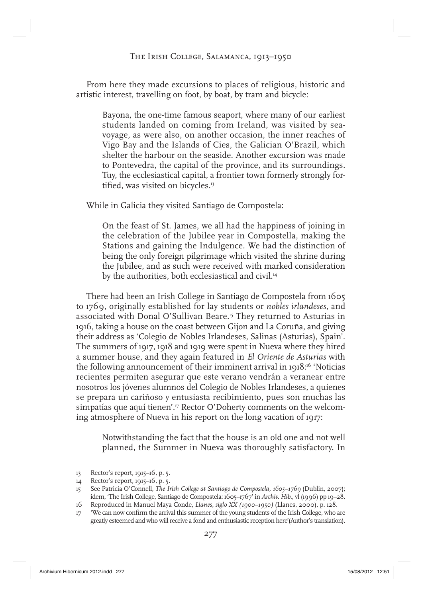# The Irish College, Salamanca, 1913–1950

From here they made excursions to places of religious, historic and artistic interest, travelling on foot, by boat, by tram and bicycle:

Bayona, the one-time famous seaport, where many of our earliest students landed on coming from Ireland, was visited by seavoyage, as were also, on another occasion, the inner reaches of Vigo Bay and the Islands of Cies, the Galician O'Brazil, which shelter the harbour on the seaside. Another excursion was made to Pontevedra, the capital of the province, and its surroundings. Tuy, the ecclesiastical capital, a frontier town formerly strongly fortified, was visited on bicycles. $13$ 

While in Galicia they visited Santiago de Compostela:

On the feast of St. James, we all had the happiness of joining in the celebration of the Jubilee year in Compostella, making the Stations and gaining the Indulgence. We had the distinction of being the only foreign pilgrimage which visited the shrine during the Jubilee, and as such were received with marked consideration by the authorities, both ecclesiastical and civil.<sup>14</sup>

There had been an Irish College in Santiago de Compostela from 1605 to 1769, originally established for lay students or *nobles irlandeses*, and associated with Donal O'Sullivan Beare.<sup>15</sup> They returned to Asturias in 1916, taking a house on the coast between Gijon and La Coruña, and giving their address as 'Colegio de Nobles Irlandeses, Salinas (Asturias), Spain'. The summers of 1917, 1918 and 1919 were spent in Nueva where they hired a summer house, and they again featured in *El Oriente de Asturias* with the following announcement of their imminent arrival in 1918:<sup>16</sup> 'Noticias recientes permiten asegurar que este verano vendrán a veranear entre nosotros los jóvenes alumnos del Colegio de Nobles Irlandeses, a quienes se prepara un cariňoso y entusiasta recibimiento, pues son muchas las simpatías que aquí tienen'.<sup>17</sup> Rector O'Doherty comments on the welcoming atmosphere of Nueva in his report on the long vacation of 1917:

Notwithstanding the fact that the house is an old one and not well planned, the Summer in Nueva was thoroughly satisfactory. In

14 Rector's report, 1915–16, p. 5.

- 16 Reproduced in Manuel Maya Conde, *Llanes, siglo XX (1900–1950)* (Llanes, 2000), p. 128.
- 17 'We can now confirm the arrival this summer of the young students of the Irish College, who are greatly esteemed and who will receive a fond and enthusiastic reception here'(Author's translation).

<sup>13</sup> Rector's report, 1915–16, p. 5.

<sup>15</sup> See Patricia O'Connell, *The Irish College at Santiago de Compostela, 1605–1769* (Dublin, 2007); idem, 'The Irish College, Santiago de Compostela: 1605–1767' in *Archiv. Hib*., vl (1996) pp 19–28.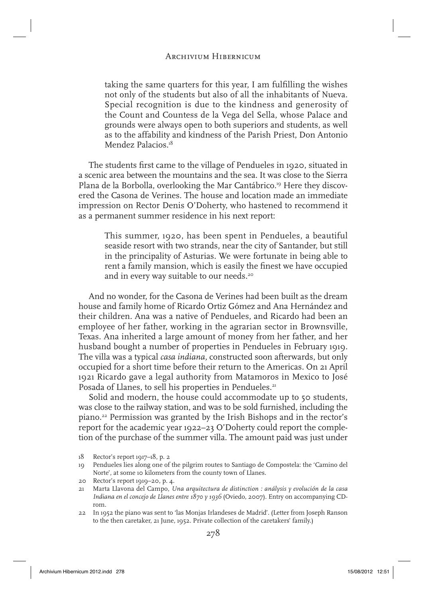taking the same quarters for this year, I am fulfilling the wishes not only of the students but also of all the inhabitants of Nueva. Special recognition is due to the kindness and generosity of the Count and Countess de la Vega del Sella, whose Palace and grounds were always open to both superiors and students, as well as to the affability and kindness of the Parish Priest, Don Antonio Mendez Palacios.<sup>18</sup>

The students first came to the village of Pendueles in 1920, situated in a scenic area between the mountains and the sea. It was close to the Sierra Plana de la Borbolla, overlooking the Mar Cantábrico.19 Here they discovered the Casona de Verines. The house and location made an immediate impression on Rector Denis O'Doherty, who hastened to recommend it as a permanent summer residence in his next report:

This summer, 1920, has been spent in Pendueles, a beautiful seaside resort with two strands, near the city of Santander, but still in the principality of Asturias. We were fortunate in being able to rent a family mansion, which is easily the finest we have occupied and in every way suitable to our needs.<sup>20</sup>

And no wonder, for the Casona de Verines had been built as the dream house and family home of Ricardo Ortiz Gómez and Ana Hernández and their children. Ana was a native of Pendueles, and Ricardo had been an employee of her father, working in the agrarian sector in Brownsville, Texas. Ana inherited a large amount of money from her father, and her husband bought a number of properties in Pendueles in February 1919. The villa was a typical *casa indiana,* constructed soon afterwards, but only occupied for a short time before their return to the Americas. On 21 April 1921 Ricardo gave a legal authority from Matamoros in Mexico to José Posada of Llanes, to sell his properties in Pendueles.<sup>21</sup>

Solid and modern, the house could accommodate up to 50 students, was close to the railway station, and was to be sold furnished, including the piano.22 Permission was granted by the Irish Bishops and in the rector's report for the academic year 1922–23 O'Doherty could report the completion of the purchase of the summer villa. The amount paid was just under

22 In 1952 the piano was sent to 'las Monjas Irlandeses de Madrid'. (Letter from Joseph Ranson to the then caretaker, 21 June, 1952. Private collection of the caretakers' family.)

<sup>18</sup> Rector's report 1917–18, p. 2

<sup>19</sup> Pendueles lies along one of the pilgrim routes to Santiago de Compostela: the 'Camino del Norte', at some 10 kilometers from the county town of Llanes.

<sup>20</sup> Rector's report 1919–20, p. 4.

<sup>21</sup> Marta Llavona del Campo, *Una arquitectura de distinction : análysis y evolución de la casa Indiana en el concejo de Llanes entre 1870 y 1936* (Oviedo, 2007). Entry on accompanying CDrom.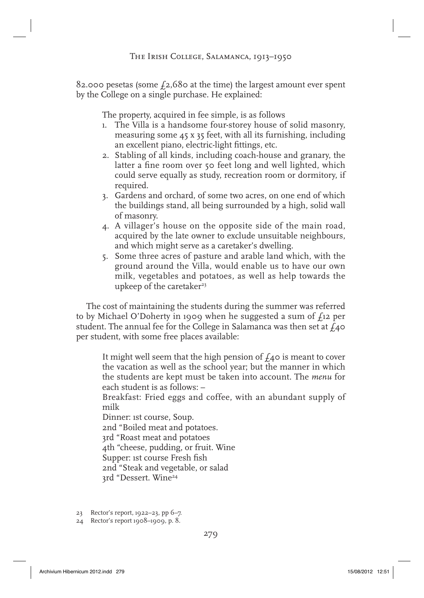82.000 pesetas (some  $f_2$ ,680 at the time) the largest amount ever spent by the College on a single purchase. He explained:

The property, acquired in fee simple, is as follows

- 1. The Villa is a handsome four-storey house of solid masonry, measuring some 45 x 35 feet, with all its furnishing, including an excellent piano, electric-light fittings, etc.
- 2. Stabling of all kinds, including coach-house and granary, the latter a fine room over 50 feet long and well lighted, which could serve equally as study, recreation room or dormitory, if required.
- 3. Gardens and orchard, of some two acres, on one end of which the buildings stand, all being surrounded by a high, solid wall of masonry.
- 4. A villager's house on the opposite side of the main road, acquired by the late owner to exclude unsuitable neighbours, and which might serve as a caretaker's dwelling.
- 5. Some three acres of pasture and arable land which, with the ground around the Villa, would enable us to have our own milk, vegetables and potatoes, as well as help towards the upkeep of the caretaker $23$

The cost of maintaining the students during the summer was referred to by Michael O'Doherty in 1909 when he suggested a sum of  $f_1$ 12 per student. The annual fee for the College in Salamanca was then set at  $f_4$ o per student, with some free places available:

It might well seem that the high pension of  $f_4$  is meant to cover the vacation as well as the school year; but the manner in which the students are kept must be taken into account. The *menu* for each student is as follows: –

Breakfast: Fried eggs and coffee, with an abundant supply of milk

Dinner: 1st course, Soup.

2nd "Boiled meat and potatoes.

3rd "Roast meat and potatoes

4th "cheese, pudding, or fruit. Wine

Supper: 1st course Fresh fish

2nd "Steak and vegetable, or salad

3rd "Dessert. Wine<sup>24</sup>

- 23 Rector's report, 1922–23, pp 6–7.
- 24 Rector's report 1908–1909, p. 8.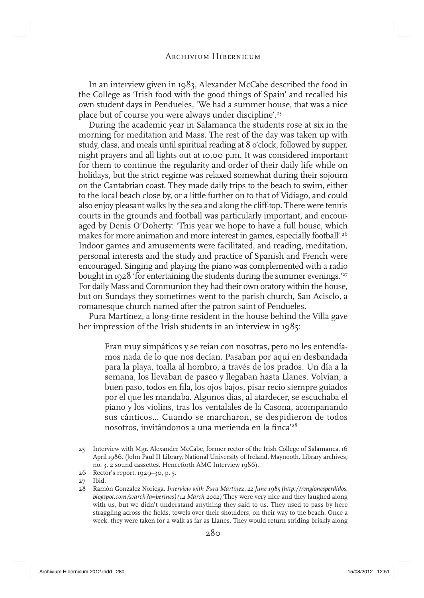In an interview given in 1983, Alexander McCabe described the food in the College as 'Irish food with the good things of Spain' and recalled his own student days in Pendueles, 'We had a summer house, that was a nice place but of course you were always under discipline'.25

During the academic year in Salamanca the students rose at six in the morning for meditation and Mass. The rest of the day was taken up with study, class, and meals until spiritual reading at 8 o'clock, followed by supper, night prayers and all lights out at 10.00 p.m. It was considered important for them to continue the regularity and order of their daily life while on holidays, but the strict regime was relaxed somewhat during their sojourn on the Cantabrian coast. They made daily trips to the beach to swim, either to the local beach close by, or a little further on to that of Vidiago, and could also enjoy pleasant walks by the sea and along the cliff-top. There were tennis courts in the grounds and football was particularly important, and encouraged by Denis O'Doherty: 'This year we hope to have a full house, which makes for more animation and more interest in games, especially football'.26 Indoor games and amusements were facilitated, and reading, meditation, personal interests and the study and practice of Spanish and French were encouraged. Singing and playing the piano was complemented with a radio bought in 1928 'for entertaining the students during the summer evenings.'<sup>27</sup> For daily Mass and Communion they had their own oratory within the house, but on Sundays they sometimes went to the parish church, San Acisclo, a romanesque church named after the patron saint of Pendueles.

Pura Martínez, a long-time resident in the house behind the Villa gave her impression of the Irish students in an interview in 1985:

Eran muy simpáticos y se reían con nosotras, pero no les entendíamos nada de lo que nos decían. Pasaban por aquí en desbandada para la playa, toalla al hombro, a través de los prados. Un día a la semana, los llevaban de paseo y llegaban hasta Llanes. Volvían, a buen paso, todos en fila, los ojos bajos, pisar recio siempre guiados por el que les mandaba. Algunos días, al atardecer, se escuchaba el piano y los violins, tras los ventalales de la Casona, acompanando sus cánticos… Cuando se marcharon, se despidieron de todos nosotros, invitándonos a una merienda en la finca<sup>'28</sup>

<sup>25</sup> Interview with Mgr. Alexander McCabe, former rector of the Irish College of Salamanca. 16 April 1986. (John Paul II Library, National University of Ireland, Maynooth. Library archives, no. 3, 2 sound cassettes. Henceforth AMC Interview 1986).

<sup>26</sup> Rector's report, 1929–30, p. 5.

<sup>27</sup> Ibid.

<sup>28</sup> Ramón Gonzalez Noriega. *Interview with Pura Martínez, 22 June 1985* (*http://renglonesperdidos. blogspot.com/search?q=berines)(14 March 2002)'*They were very nice and they laughed along with us, but we didn't understand anything they said to us. They used to pass by here straggling across the fields, towels over their shoulders, on their way to the beach. Once a week, they were taken for a walk as far as Llanes. They would return striding briskly along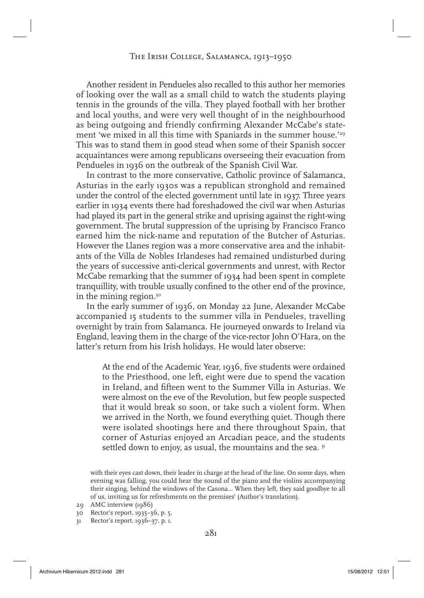Another resident in Pendueles also recalled to this author her memories of looking over the wall as a small child to watch the students playing tennis in the grounds of the villa. They played football with her brother and local youths, and were very well thought of in the neighbourhood as being outgoing and friendly confirming Alexander McCabe's statement 'we mixed in all this time with Spaniards in the summer house.'<sup>29</sup> This was to stand them in good stead when some of their Spanish soccer acquaintances were among republicans overseeing their evacuation from Pendueles in 1936 on the outbreak of the Spanish Civil War.

In contrast to the more conservative, Catholic province of Salamanca, Asturias in the early 1930s was a republican stronghold and remained under the control of the elected government until late in 1937. Three years earlier in 1934 events there had foreshadowed the civil war when Asturias had played its part in the general strike and uprising against the right-wing government. The brutal suppression of the uprising by Francisco Franco earned him the nick-name and reputation of the Butcher of Asturias. However the Llanes region was a more conservative area and the inhabitants of the Villa de Nobles Irlandeses had remained undisturbed during the years of successive anti-clerical governments and unrest, with Rector McCabe remarking that the summer of 1934 had been spent in complete tranquillity, with trouble usually confined to the other end of the province, in the mining region.<sup>30</sup>

In the early summer of 1936, on Monday 22 June, Alexander McCabe accompanied 15 students to the summer villa in Pendueles, travelling overnight by train from Salamanca. He journeyed onwards to Ireland via England, leaving them in the charge of the vice-rector John O'Hara, on the latter's return from his Irish holidays. He would later observe:

At the end of the Academic Year, 1936, five students were ordained to the Priesthood, one left, eight were due to spend the vacation in Ireland, and fifteen went to the Summer Villa in Asturias. We were almost on the eve of the Revolution, but few people suspected that it would break so soon, or take such a violent form. When we arrived in the North, we found everything quiet. Though there were isolated shootings here and there throughout Spain, that corner of Asturias enjoyed an Arcadian peace, and the students settled down to enjoy, as usual, the mountains and the sea. 31

with their eyes cast down, their leader in charge at the head of the line. On some days, when evening was falling, you could hear the sound of the piano and the violins accompanying their singing, behind the windows of the Casona… When they left, they said goodbye to all of us, inviting us for refreshments on the premises' (Author's translation).

<sup>29</sup> AMC interview (1986)

<sup>30</sup> Rector's report. 1935–36, p. 5.

<sup>31</sup> Rector's report. 1936–37, p. 1.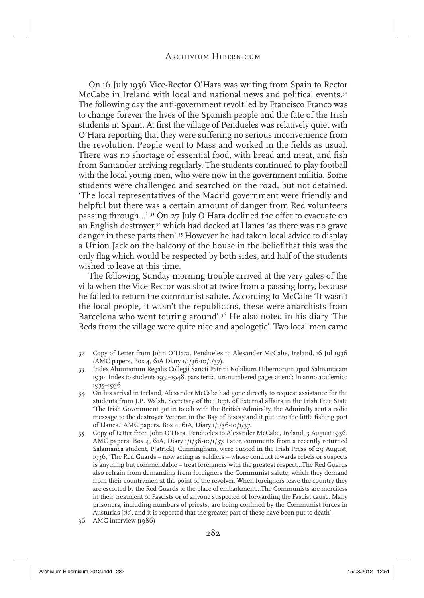On 16 July 1936 Vice-Rector O'Hara was writing from Spain to Rector McCabe in Ireland with local and national news and political events.<sup>32</sup> The following day the anti-government revolt led by Francisco Franco was to change forever the lives of the Spanish people and the fate of the Irish students in Spain. At first the village of Pendueles was relatively quiet with O'Hara reporting that they were suffering no serious inconvenience from the revolution. People went to Mass and worked in the fields as usual. There was no shortage of essential food, with bread and meat, and fish from Santander arriving regularly. The students continued to play football with the local young men, who were now in the government militia. Some students were challenged and searched on the road, but not detained. 'The local representatives of the Madrid government were friendly and helpful but there was a certain amount of danger from Red volunteers passing through...'.<sup>33</sup> On 27 July O'Hara declined the offer to evacuate on an English destroyer,<sup>34</sup> which had docked at Llanes 'as there was no grave danger in these parts then'.35 However he had taken local advice to display a Union Jack on the balcony of the house in the belief that this was the only flag which would be respected by both sides, and half of the students wished to leave at this time.

The following Sunday morning trouble arrived at the very gates of the villa when the Vice-Rector was shot at twice from a passing lorry, because he failed to return the communist salute. According to McCabe 'It wasn't the local people, it wasn't the republicans, these were anarchists from Barcelona who went touring around'.<sup>36</sup> He also noted in his diary 'The Reds from the village were quite nice and apologetic'. Two local men came

- 32 Copy of Letter from John O'Hara, Pendueles to Alexander McCabe, Ireland, 16 Jul 1936 (AMC papers. Box 4, 61A Diary 1/1/36-10/1/37).
- 33 Index Alumnorum Regalis Collegii Sancti Patritii Nobilium Hibernorum apud Salmanticam 1931-, Index to students 1931–1948, pars tertia, un-numbered pages at end: In anno academico 1935–1936
- 34 On his arrival in Ireland, Alexander McCabe had gone directly to request assistance for the students from J.P. Walsh, Secretary of the Dept. of External affairs in the Irish Free State 'The Irish Government got in touch with the British Admiralty, the Admiralty sent a radio message to the destroyer Veteran in the Bay of Biscay and it put into the little fishing port of Llanes.' AMC papers. Box 4, 61A, Diary 1/1/36-10/1/37.
- 35 Copy of Letter from John O'Hara, Pendueles to Alexander McCabe, Ireland, 3 August 1936. AMC papers. Box 4, 61A, Diary 1/1/36-10/1/37. Later, comments from a recently returned Salamanca student, P[atrick]. Cunningham, were quoted in the Irish Press of 29 August, 1936, 'The Red Guards – now acting as soldiers – whose conduct towards rebels or suspects is anything but commendable – treat foreigners with the greatest respect…The Red Guards also refrain from demanding from foreigners the Communist salute, which they demand from their countrymen at the point of the revolver. When foreigners leave the country they are escorted by the Red Guards to the place of embarkment…The Communists are merciless in their treatment of Fascists or of anyone suspected of forwarding the Fascist cause. Many prisoners, including numbers of priests, are being confined by the Communist forces in Austurias [*sic*], and it is reported that the greater part of these have been put to death'.
- 36 AMC interview (1986)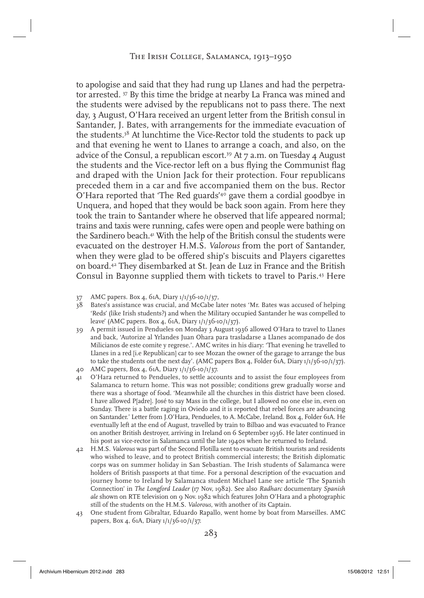to apologise and said that they had rung up Llanes and had the perpetrator arrested. 37 By this time the bridge at nearby La Franca was mined and the students were advised by the republicans not to pass there. The next day, 3 August, O'Hara received an urgent letter from the British consul in Santander, J. Bates, with arrangements for the immediate evacuation of the students.38 At lunchtime the Vice-Rector told the students to pack up and that evening he went to Llanes to arrange a coach, and also, on the advice of the Consul, a republican escort.<sup>39</sup> At  $\tau$  a.m. on Tuesday 4 August the students and the Vice-rector left on a bus flying the Communist flag and draped with the Union Jack for their protection. Four republicans preceded them in a car and five accompanied them on the bus. Rector O'Hara reported that 'The Red guards'40 gave them a cordial goodbye in Unquera, and hoped that they would be back soon again. From here they took the train to Santander where he observed that life appeared normal; trains and taxis were running, cafes were open and people were bathing on the Sardinero beach.<sup>41</sup> With the help of the British consul the students were evacuated on the destroyer H.M.S. *Valorous* from the port of Santander, when they were glad to be offered ship's biscuits and Players cigarettes on board.42 They disembarked at St. Jean de Luz in France and the British Consul in Bayonne supplied them with tickets to travel to Paris.43 Here

- 38 Bates's assistance was crucial, and McCabe later notes 'Mr. Bates was accused of helping 'Reds' (like Irish students?) and when the Military occupied Santander he was compelled to leave' (AMC papers. Box 4, 61A, Diary 1/1/36-10/1/37).
- 39 A permit issued in Pendueles on Monday 3 August 1936 allowed O'Hara to travel to Llanes and back, 'Autorize al Yrlandes Juan Ohara para trasladarse a Llanes acompanado de dos Milicianos de este comite y regrese.'. AMC writes in his diary: 'That evening he travelled to Llanes in a red [i.e Republican] car to see Mozan the owner of the garage to arrange the bus to take the students out the next day'. (AMC papers Box 4, Folder 61A, Diary  $1/1/36$ -10/1/37).
- 40 AMC papers, Box 4, 61A, Diary 1/1/36-10/1/37.
- 41 O'Hara returned to Pendueles, to settle accounts and to assist the four employees from Salamanca to return home. This was not possible; conditions grew gradually worse and there was a shortage of food. 'Meanwhile all the churches in this district have been closed. I have allowed P[adre]. José to say Mass in the college, but I allowed no one else in, even on Sunday. There is a battle raging in Oviedo and it is reported that rebel forces are advancing on Santander.' Letter from J.O'Hara, Pendueles, to A. McCabe, Ireland. Box 4, Folder 61A. He eventually left at the end of August, travelled by train to Bilbao and was evacuated to France on another British destroyer, arriving in Ireland on 6 September 1936. He later continued in his post as vice-rector in Salamanca until the late 1940s when he returned to Ireland.
- 42 H.M.S. *Valorous* was part of the Second Flotilla sent to evacuate British tourists and residents who wished to leave, and to protect British commercial interests; the British diplomatic corps was on summer holiday in San Sebastian. The Irish students of Salamanca were holders of British passports at that time. For a personal description of the evacuation and journey home to Ireland by Salamanca student Michael Lane see article 'The Spanish Connection' in *The Longford Leader* (17 Nov, 1982). See also *Radharc* documentary *Spanish ale* shown on RTE television on 9 Nov. 1982 which features John O'Hara and a photographic still of the students on the H.M.S. *Valorous*, with another of its Captain.
- 43 One student from Gibraltar, Eduardo Rapallo, went home by boat from Marseilles. AMC papers, Box 4, 61A, Diary 1/1/36-10/1/37.

<sup>37</sup> AMC papers. Box 4, 61A, Diary 1/1/36-10/1/37,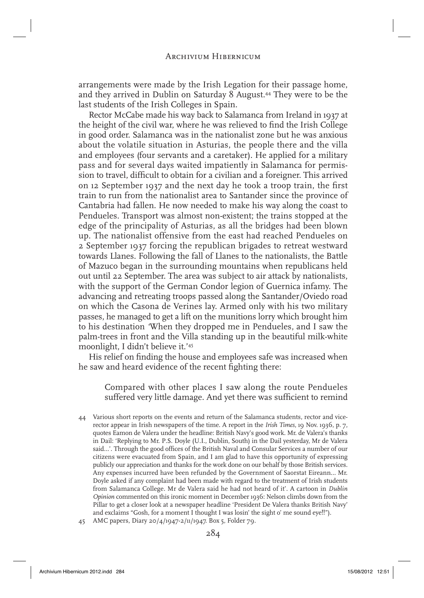arrangements were made by the Irish Legation for their passage home, and they arrived in Dublin on Saturday 8 August.<sup>44</sup> They were to be the last students of the Irish Colleges in Spain.

Rector McCabe made his way back to Salamanca from Ireland in 1937 at the height of the civil war, where he was relieved to find the Irish College in good order. Salamanca was in the nationalist zone but he was anxious about the volatile situation in Asturias, the people there and the villa and employees (four servants and a caretaker). He applied for a military pass and for several days waited impatiently in Salamanca for permission to travel, difficult to obtain for a civilian and a foreigner. This arrived on 12 September 1937 and the next day he took a troop train, the first train to run from the nationalist area to Santander since the province of Cantabria had fallen. He now needed to make his way along the coast to Pendueles. Transport was almost non-existent; the trains stopped at the edge of the principality of Asturias, as all the bridges had been blown up. The nationalist offensive from the east had reached Pendueles on 2 September 1937 forcing the republican brigades to retreat westward towards Llanes. Following the fall of Llanes to the nationalists, the Battle of Mazuco began in the surrounding mountains when republicans held out until 22 September. The area was subject to air attack by nationalists, with the support of the German Condor legion of Guernica infamy. The advancing and retreating troops passed along the Santander/Oviedo road on which the Casona de Verines lay. Armed only with his two military passes, he managed to get a lift on the munitions lorry which brought him to his destination *'*When they dropped me in Pendueles, and I saw the palm-trees in front and the Villa standing up in the beautiful milk-white moonlight, I didn't believe it.'45

His relief on finding the house and employees safe was increased when he saw and heard evidence of the recent fighting there:

Compared with other places I saw along the route Pendueles suffered very little damage. And yet there was sufficient to remind

- 44 Various short reports on the events and return of the Salamanca students, rector and vicerector appear in Irish newspapers of the time. A report in the *Irish Times*, 19 Nov. 1936, p. 7, quotes Eamon de Valera under the headline: British Navy's good work. Mr. de Valera's thanks in Dail: 'Replying to Mr. P.S. Doyle (U.I., Dublin, South) in the Dail yesterday, Mr de Valera said...'. Through the good offices of the British Naval and Consular Services a number of our citizens were evacuated from Spain, and I am glad to have this opportunity of expressing publicly our appreciation and thanks for the work done on our behalf by those British services. Any expenses incurred have been refunded by the Government of Saorstat Eireann... Mr. Doyle asked if any complaint had been made with regard to the treatment of Irish students from Salamanca College. Mr de Valera said he had not heard of it'. A cartoon in *Dublin Opinion* commented on this ironic moment in December 1936: Nelson climbs down from the Pillar to get a closer look at a newspaper headline 'President De Valera thanks British Navy' and exclaims "Gosh, for a moment I thought I was losin' the sight o' me sound eye!!").
- 45 AMC papers, Diary 20/4/1947-2/11/1947. Box 5, Folder 79.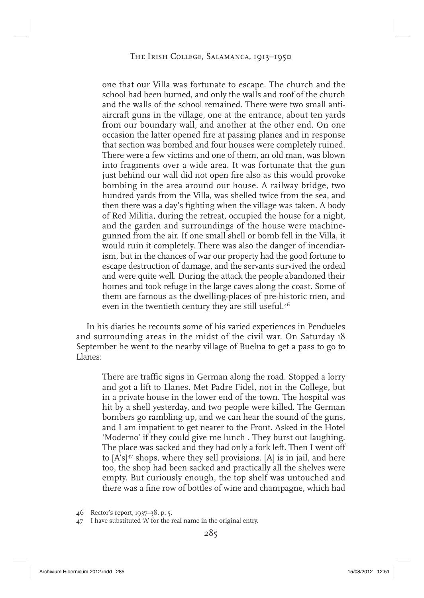one that our Villa was fortunate to escape. The church and the school had been burned, and only the walls and roof of the church and the walls of the school remained. There were two small antiaircraft guns in the village, one at the entrance, about ten yards from our boundary wall, and another at the other end. On one occasion the latter opened fire at passing planes and in response that section was bombed and four houses were completely ruined. There were a few victims and one of them, an old man, was blown into fragments over a wide area. It was fortunate that the gun just behind our wall did not open fire also as this would provoke bombing in the area around our house. A railway bridge, two hundred yards from the Villa, was shelled twice from the sea, and then there was a day's fighting when the village was taken. A body of Red Militia, during the retreat, occupied the house for a night, and the garden and surroundings of the house were machinegunned from the air. If one small shell or bomb fell in the Villa, it would ruin it completely. There was also the danger of incendiarism, but in the chances of war our property had the good fortune to escape destruction of damage, and the servants survived the ordeal and were quite well. During the attack the people abandoned their homes and took refuge in the large caves along the coast. Some of them are famous as the dwelling-places of pre-historic men, and even in the twentieth century they are still useful.<sup>46</sup>

In his diaries he recounts some of his varied experiences in Pendueles and surrounding areas in the midst of the civil war. On Saturday 18 September he went to the nearby village of Buelna to get a pass to go to Llanes:

There are traffic signs in German along the road. Stopped a lorry and got a lift to Llanes. Met Padre Fidel, not in the College, but in a private house in the lower end of the town. The hospital was hit by a shell yesterday, and two people were killed. The German bombers go rambling up, and we can hear the sound of the guns, and I am impatient to get nearer to the Front. Asked in the Hotel 'Moderno' if they could give me lunch . They burst out laughing. The place was sacked and they had only a fork left. Then I went off to  $[A's]^{47}$  shops, where they sell provisions.  $[A]$  is in jail, and here too, the shop had been sacked and practically all the shelves were empty. But curiously enough, the top shelf was untouched and there was a fine row of bottles of wine and champagne, which had

<sup>46</sup> Rector's report, 1937–38, p. 5.

<sup>47</sup> I have substituted 'A' for the real name in the original entry.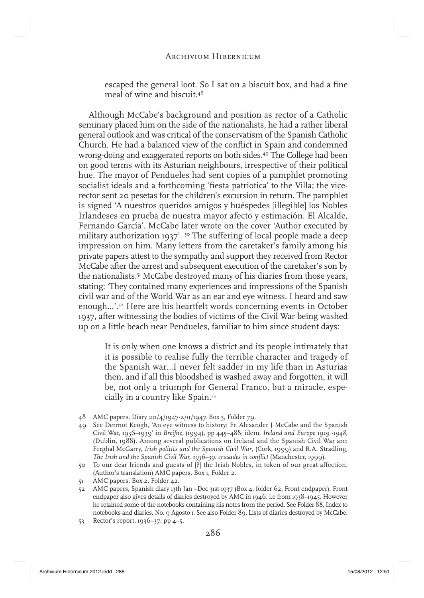escaped the general loot. So I sat on a biscuit box, and had a fine meal of wine and biscuit.48

Although McCabe's background and position as rector of a Catholic seminary placed him on the side of the nationalists, he had a rather liberal general outlook and was critical of the conservatism of the Spanish Catholic Church. He had a balanced view of the conflict in Spain and condemned wrong-doing and exaggerated reports on both sides.49 The College had been on good terms with its Asturian neighbours, irrespective of their political hue. The mayor of Pendueles had sent copies of a pamphlet promoting socialist ideals and a forthcoming 'fiesta patriotica' to the Villa; the vicerector sent 20 pesetas for the children's excursion in return. The pamphlet is signed 'A nuestros queridos amigos y huéspedes [illegible] los Nobles Irlandeses en prueba de nuestra mayor afecto y estimación. El Alcalde, Fernando García'. McCabe later wrote on the cover 'Author executed by military authorization 1937'.  $5^{\circ}$  The suffering of local people made a deep impression on him. Many letters from the caretaker's family among his private papers attest to the sympathy and support they received from Rector McCabe after the arrest and subsequent execution of the caretaker's son by the nationalists.51 McCabe destroyed many of his diaries from those years, stating: *'*They contained many experiences and impressions of the Spanish civil war and of the World War as an ear and eye witness. I heard and saw enough…'.52 Here are his heartfelt words concerning events in October 1937, after witnessing the bodies of victims of the Civil War being washed up on a little beach near Pendueles, familiar to him since student days:

It is only when one knows a district and its people intimately that it is possible to realise fully the terrible character and tragedy of the Spanish war…I never felt sadder in my life than in Asturias then, and if all this bloodshed is washed away and forgotten, it will be, not only a triumph for General Franco, but a miracle, especially in a country like Spain.53

- 48 AMC papers, Diary 20/4/1947-2/11/1947. Box 5, Folder 79.
- 49 See Dermot Keogh, 'An eye witness to history: Fr. Alexander J McCabe and the Spanish Civil War, 1936–1939' in *Breifne,* (1994), pp 445–488; idem, *Ireland and Europe 1919 -1948*, (Dublin, 1988). Among several publications on Ireland and the Spanish Civil War are: Ferghal McGarry, *Irish politics and the Spanish Civil War*, (Cork, 1999) and R.A. Stradling, The Irish and the Spanish Civil War, 1936–39: crusades in conflict (Manchester, 1999).
- 50 To our dear friends and guests of [?] the Irish Nobles, in token of our great affection. (Author's translation) AMC papers, Box 1, Folder 2.
- 51 AMC papers, Box 2, Folder 42.
- 52 AMC papers, Spanish diary 13th Jan –Dec 31st 1937 (Box 4, folder 62, Front endpaper). Front endpaper also gives details of diaries destroyed by AMC in 1946: i.e from 1938–1945. However he retained some of the notebooks containing his notes from the period. See Folder 88, Index to notebooks and diaries. No. 9 Agosto 1. See also Folder 89, Lists of diaries destroyed by McCabe.
- 53 Rector's report, 1936–37, pp 4–5.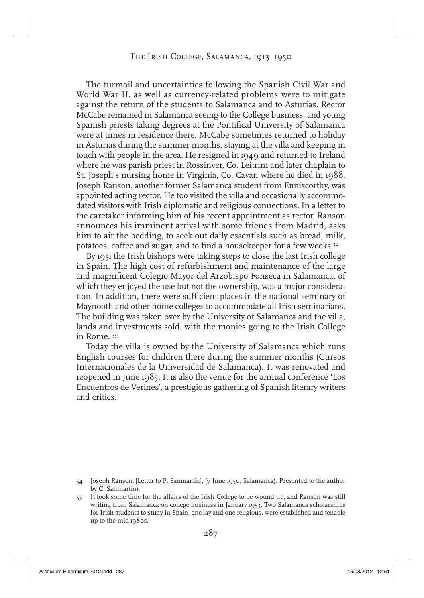# The Irish College, Salamanca, 1913–1950

The turmoil and uncertainties following the Spanish Civil War and World War II, as well as currency-related problems were to mitigate against the return of the students to Salamanca and to Asturias. Rector McCabe remained in Salamanca seeing to the College business, and young Spanish priests taking degrees at the Pontifical University of Salamanca were at times in residence there. McCabe sometimes returned to holiday in Asturias during the summer months, staying at the villa and keeping in touch with people in the area. He resigned in 1949 and returned to Ireland where he was parish priest in Rossinver, Co. Leitrim and later chaplain to St. Joseph's nursing home in Virginia, Co. Cavan where he died in 1988. Joseph Ranson, another former Salamanca student from Enniscorthy, was appointed acting rector. He too visited the villa and occasionally accommodated visitors with Irish diplomatic and religious connections. In a letter to the caretaker informing him of his recent appointment as rector, Ranson announces his imminent arrival with some friends from Madrid, asks him to air the bedding, to seek out daily essentials such as bread, milk, potatoes, coffee and sugar, and to find a housekeeper for a few weeks.<sup>54</sup>

By 1951 the Irish bishops were taking steps to close the last Irish college in Spain. The high cost of refurbishment and maintenance of the large and magnificent Colegio Mayor del Arzobispo Fonseca in Salamanca, of which they enjoyed the use but not the ownership, was a major consideration. In addition, there were sufficient places in the national seminary of Maynooth and other home colleges to accommodate all Irish seminarians. The building was taken over by the University of Salamanca and the villa, lands and investments sold, with the monies going to the Irish College in Rome. 55

Today the villa is owned by the University of Salamanca which runs English courses for children there during the summer months (Cursos Internacionales de la Universidad de Salamanca). It was renovated and reopened in June 1985. It is also the venue for the annual conference 'Los Encuentros de Verines', a prestigious gathering of Spanish literary writers and critics.

<sup>54</sup> Joseph Ranson. [Letter to P. Sanmartín], (7 June 1950, Salamanca). Presented to the author by C. Sanmartín).

<sup>55</sup> It took some time for the affairs of the Irish College to be wound up, and Ranson was still writing from Salamanca on college business in January 1953. Two Salamanca scholarships for Irish students to study in Spain, one lay and one religious, were established and tenable up to the mid 1980s.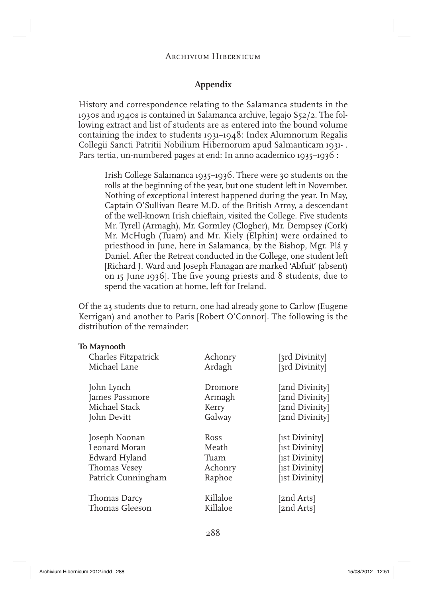## **Appendix**

History and correspondence relating to the Salamanca students in the 1930s and 1940s is contained in Salamanca archive, legajo S52/2. The following extract and list of students are as entered into the bound volume containing the index to students 1931–1948: Index Alumnorum Regalis Collegii Sancti Patritii Nobilium Hibernorum apud Salmanticam 1931- . Pars tertia, un-numbered pages at end: In anno academico 1935–1936 **:**

Irish College Salamanca 1935–1936. There were 30 students on the rolls at the beginning of the year, but one student left in November. Nothing of exceptional interest happened during the year. In May, Captain O'Sullivan Beare M.D. of the British Army, a descendant of the well-known Irish chieftain, visited the College. Five students Mr. Tyrell (Armagh), Mr. Gormley (Clogher), Mr. Dempsey (Cork) Mr. McHugh (Tuam) and Mr. Kiely (Elphin) were ordained to priesthood in June, here in Salamanca, by the Bishop, Mgr. Plá y Daniel. After the Retreat conducted in the College, one student left [Richard J. Ward and Joseph Flanagan are marked 'Abfuit' (absent) on 15 June 1936]. The five young priests and 8 students, due to spend the vacation at home, left for Ireland.

Of the 23 students due to return, one had already gone to Carlow ( Eugene Kerrigan) and another to Paris [ Robert O'Connor]. The following is the distribution of the remainder:

## **To Maynooth**

| Charles Fitzpatrick | Achonry  | [3rd Divinity] |
|---------------------|----------|----------------|
| Michael Lane        | Ardagh   | [3rd Divinity] |
| John Lynch          | Dromore  | [2nd Divinity] |
| James Passmore      | Armagh   | [2nd Divinity] |
| Michael Stack       | Kerry    | [2nd Divinity] |
| John Devitt         | Galway   | [2nd Divinity] |
| Joseph Noonan       | Ross     | [1st Divinity] |
| Leonard Moran       | Meath    | [1st Divinity] |
| Edward Hyland       | Tuam     | [1st Divinity] |
| Thomas Vesey        | Achonry  | [1st Divinity] |
| Patrick Cunningham  | Raphoe   | [1st Divinity] |
| Thomas Darcy        | Killaloe | [2nd Arts]     |
| Thomas Gleeson      | Killaloe | 2nd Arts]      |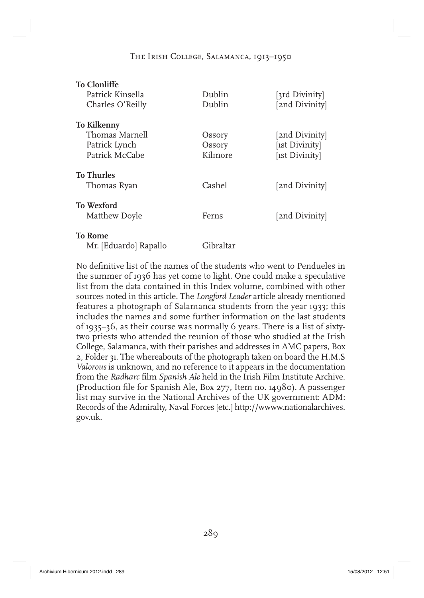# The Irish College, Salamanca, 1913–1950

| <b>To Clonliffe</b>   |           |                |
|-----------------------|-----------|----------------|
| Patrick Kinsella      | Dublin    | [3rd Divinity] |
| Charles O'Reilly      | Dublin    | [2nd Divinity] |
| <b>To Kilkenny</b>    |           |                |
| Thomas Marnell        | Ossory    | [2nd Divinity] |
| Patrick Lynch         | Ossory    | [1st Divinity] |
| Patrick McCabe        | Kilmore   | [1st Divinity] |
| <b>To Thurles</b>     |           |                |
| Thomas Ryan           | Cashel    | [2nd Divinity] |
| <b>To Wexford</b>     |           |                |
| Matthew Doyle         | Ferns     | [2nd Divinity] |
| <b>To Rome</b>        |           |                |
| Mr. [Eduardo] Rapallo | Gibraltar |                |

No definitive list of the names of the students who went to Pendueles in the summer of 1936 has yet come to light. One could make a speculative list from the data contained in this Index volume, combined with other sources noted in this article. The *Longford Leader* article already mentioned features a photograph of Salamanca students from the year 1933; this includes the names and some further information on the last students of 1935–36, as their course was normally 6 years. There is a list of sixtytwo priests who attended the reunion of those who studied at the Irish College, Salamanca, with their parishes and addresses in AMC papers, Box 2, Folder 31. The whereabouts of the photograph taken on board the H.M.S *Valorous* is unknown, and no reference to it appears in the documentation from the *Radharc* film *Spanish Ale* held in the Irish Film Institute Archive. (Production file for Spanish Ale, Box 277, Item no.  $14980$ ). A passenger list may survive in the National Archives of the UK government: ADM: Records of the Admiralty, Naval Forces [etc.] http://wwww.nationalarchives. gov.uk.